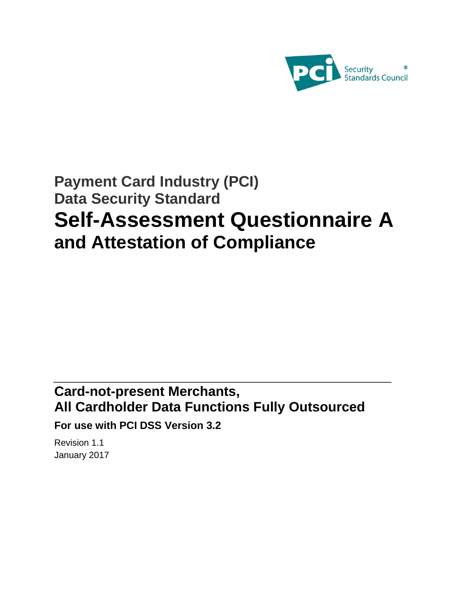

# **Payment Card Industry (PCI) Data Security Standard Self-Assessment Questionnaire A and Attestation of Compliance**

# **Card-not-present Merchants, All Cardholder Data Functions Fully Outsourced**

**For use with PCI DSS Version 3.2** 

Revision 1.1 January 2017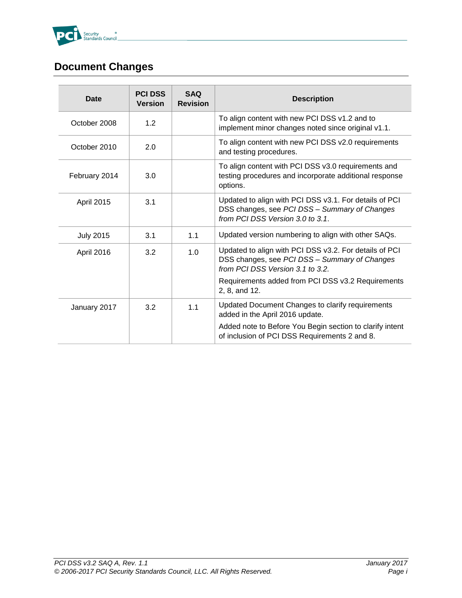

# **Document Changes**

| Date             | <b>PCI DSS</b><br><b>Version</b> | <b>SAQ</b><br><b>Revision</b> | <b>Description</b>                                                                                                                          |
|------------------|----------------------------------|-------------------------------|---------------------------------------------------------------------------------------------------------------------------------------------|
| October 2008     | 1.2                              |                               | To align content with new PCI DSS v1.2 and to<br>implement minor changes noted since original v1.1.                                         |
| October 2010     | 2.0                              |                               | To align content with new PCI DSS v2.0 requirements<br>and testing procedures.                                                              |
| February 2014    | 3.0                              |                               | To align content with PCI DSS v3.0 requirements and<br>testing procedures and incorporate additional response<br>options.                   |
| April 2015       | 3.1                              |                               | Updated to align with PCI DSS v3.1. For details of PCI<br>DSS changes, see PCI DSS - Summary of Changes<br>from PCI DSS Version 3.0 to 3.1. |
| <b>July 2015</b> | 3.1                              | 1.1                           | Updated version numbering to align with other SAQs.                                                                                         |
| April 2016       | 3.2                              | 1.0                           | Updated to align with PCI DSS v3.2. For details of PCI<br>DSS changes, see PCI DSS - Summary of Changes<br>from PCI DSS Version 3.1 to 3.2. |
|                  |                                  |                               | Requirements added from PCI DSS v3.2 Requirements<br>2, 8, and 12.                                                                          |
| January 2017     | 3.2                              | 1.1                           | Updated Document Changes to clarify requirements<br>added in the April 2016 update.                                                         |
|                  |                                  |                               | Added note to Before You Begin section to clarify intent<br>of inclusion of PCI DSS Requirements 2 and 8.                                   |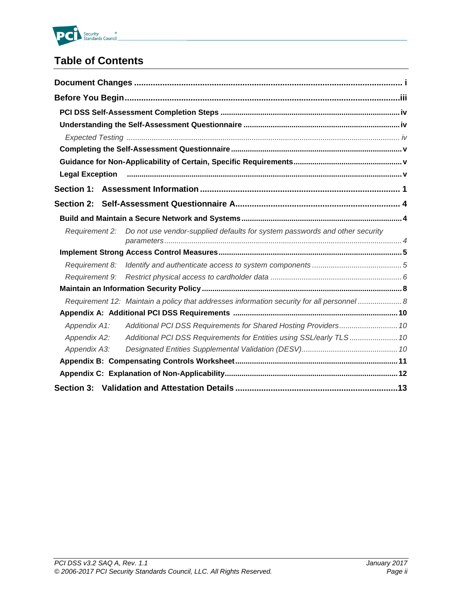

# **Table of Contents**

|                | Legal Exception (and the communication of the contract of the value of the value of the contract of the value o |  |
|----------------|-----------------------------------------------------------------------------------------------------------------|--|
|                |                                                                                                                 |  |
|                |                                                                                                                 |  |
|                |                                                                                                                 |  |
| Requirement 2: | Do not use vendor-supplied defaults for system passwords and other security                                     |  |
|                |                                                                                                                 |  |
| Requirement 8: |                                                                                                                 |  |
| Requirement 9: |                                                                                                                 |  |
|                |                                                                                                                 |  |
|                | Requirement 12: Maintain a policy that addresses information security for all personnel  8                      |  |
|                |                                                                                                                 |  |
| Appendix A1:   | Additional PCI DSS Requirements for Shared Hosting Providers 10                                                 |  |
| Appendix A2:   | Additional PCI DSS Requirements for Entities using SSL/early TLS 10                                             |  |
| Appendix A3:   |                                                                                                                 |  |
|                |                                                                                                                 |  |
|                |                                                                                                                 |  |
|                | Section 3: Validation and Attestation Details …………………………………………………………………13                                       |  |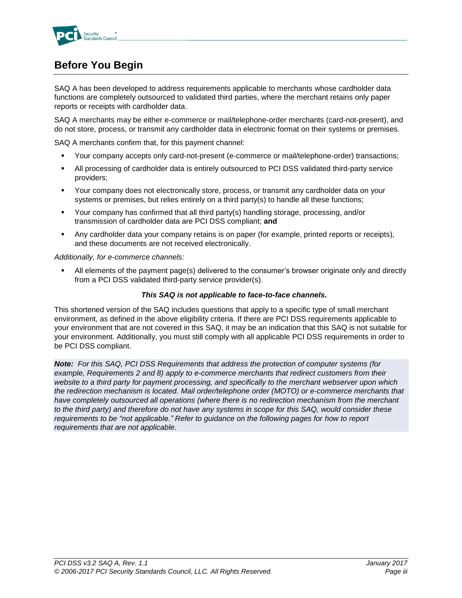

# **Before You Begin**

SAQ A has been developed to address requirements applicable to merchants whose cardholder data functions are completely outsourced to validated third parties, where the merchant retains only paper reports or receipts with cardholder data.

SAQ A merchants may be either e-commerce or mail/telephone-order merchants (card-not-present), and do not store, process, or transmit any cardholder data in electronic format on their systems or premises.

SAQ A merchants confirm that, for this payment channel:

- Your company accepts only card-not-present (e-commerce or mail/telephone-order) transactions;
- All processing of cardholder data is entirely outsourced to PCI DSS validated third-party service providers;
- Your company does not electronically store, process, or transmit any cardholder data on your systems or premises, but relies entirely on a third party(s) to handle all these functions;
- Your company has confirmed that all third party(s) handling storage, processing, and/or transmission of cardholder data are PCI DSS compliant; **and**
- Any cardholder data your company retains is on paper (for example, printed reports or receipts), and these documents are not received electronically.

#### *Additionally, for e-commerce channels:*

 All elements of the payment page(s) delivered to the consumer's browser originate only and directly from a PCI DSS validated third-party service provider(s).

### *This SAQ is not applicable to face-to-face channels.*

This shortened version of the SAQ includes questions that apply to a specific type of small merchant environment, as defined in the above eligibility criteria. If there are PCI DSS requirements applicable to your environment that are not covered in this SAQ, it may be an indication that this SAQ is not suitable for your environment. Additionally, you must still comply with all applicable PCI DSS requirements in order to be PCI DSS compliant.

*Note: For this SAQ, PCI DSS Requirements that address the protection of computer systems (for example, Requirements 2 and 8) apply to e-commerce merchants that redirect customers from their website to a third party for payment processing, and specifically to the merchant webserver upon which the redirection mechanism is located. Mail order/telephone order (MOTO) or e-commerce merchants that have completely outsourced all operations (where there is no redirection mechanism from the merchant to the third party) and therefore do not have any systems in scope for this SAQ, would consider these requirements to be "not applicable." Refer to guidance on the following pages for how to report requirements that are not applicable.*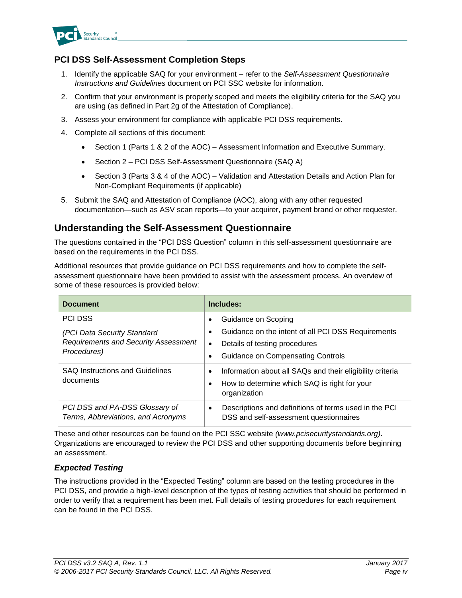

### **PCI DSS Self-Assessment Completion Steps**

- 1. Identify the applicable SAQ for your environment refer to the *Self-Assessment Questionnaire Instructions and Guidelines* document on PCI SSC website for information.
- 2. Confirm that your environment is properly scoped and meets the eligibility criteria for the SAQ you are using (as defined in Part 2g of the Attestation of Compliance).
- 3. Assess your environment for compliance with applicable PCI DSS requirements.
- 4. Complete all sections of this document:
	- Section 1 (Parts 1 & 2 of the AOC) Assessment Information and Executive Summary.
	- Section 2 PCI DSS Self-Assessment Questionnaire (SAQ A)
	- Section 3 (Parts 3 & 4 of the AOC) Validation and Attestation Details and Action Plan for Non-Compliant Requirements (if applicable)
- 5. Submit the SAQ and Attestation of Compliance (AOC), along with any other requested documentation—such as ASV scan reports—to your acquirer, payment brand or other requester.

### **Understanding the Self-Assessment Questionnaire**

The questions contained in the "PCI DSS Question" column in this self-assessment questionnaire are based on the requirements in the PCI DSS.

Additional resources that provide guidance on PCI DSS requirements and how to complete the selfassessment questionnaire have been provided to assist with the assessment process. An overview of some of these resources is provided below:

| <b>Document</b>                                                      | Includes:                                                                                                    |
|----------------------------------------------------------------------|--------------------------------------------------------------------------------------------------------------|
| <b>PCI DSS</b>                                                       | Guidance on Scoping                                                                                          |
| (PCI Data Security Standard                                          | Guidance on the intent of all PCI DSS Requirements                                                           |
| <b>Requirements and Security Assessment</b>                          | Details of testing procedures<br>$\bullet$                                                                   |
| Procedures)                                                          | <b>Guidance on Compensating Controls</b><br>٠                                                                |
| <b>SAQ Instructions and Guidelines</b>                               | Information about all SAQs and their eligibility criteria<br>٠                                               |
| documents                                                            | How to determine which SAQ is right for your<br>٠<br>organization                                            |
| PCI DSS and PA-DSS Glossary of<br>Terms, Abbreviations, and Acronyms | Descriptions and definitions of terms used in the PCI<br>$\bullet$<br>DSS and self-assessment questionnaires |

These and other resources can be found on the PCI SSC website *(www.pcisecuritystandards.org)*. Organizations are encouraged to review the PCI DSS and other supporting documents before beginning an assessment.

### *Expected Testing*

The instructions provided in the "Expected Testing" column are based on the testing procedures in the PCI DSS, and provide a high-level description of the types of testing activities that should be performed in order to verify that a requirement has been met. Full details of testing procedures for each requirement can be found in the PCI DSS.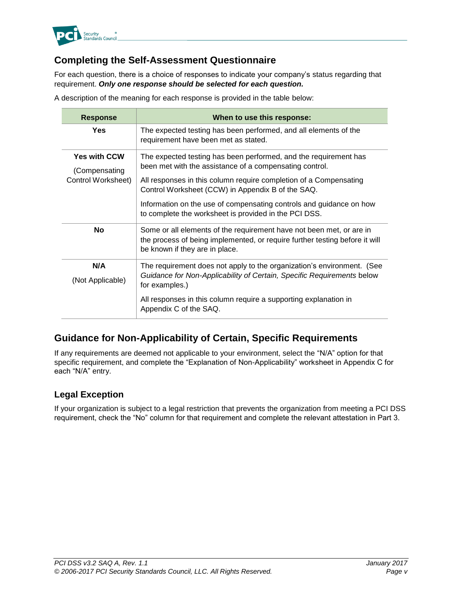

### **Completing the Self-Assessment Questionnaire**

For each question, there is a choice of responses to indicate your company's status regarding that requirement. *Only one response should be selected for each question.*

A description of the meaning for each response is provided in the table below:

| <b>Response</b>                                            | When to use this response:                                                                                                                                                                                                                                                                                                                                                            |
|------------------------------------------------------------|---------------------------------------------------------------------------------------------------------------------------------------------------------------------------------------------------------------------------------------------------------------------------------------------------------------------------------------------------------------------------------------|
| Yes                                                        | The expected testing has been performed, and all elements of the<br>requirement have been met as stated.                                                                                                                                                                                                                                                                              |
| <b>Yes with CCW</b><br>(Compensating<br>Control Worksheet) | The expected testing has been performed, and the requirement has<br>been met with the assistance of a compensating control.<br>All responses in this column require completion of a Compensating<br>Control Worksheet (CCW) in Appendix B of the SAQ.<br>Information on the use of compensating controls and guidance on how<br>to complete the worksheet is provided in the PCI DSS. |
| <b>No</b>                                                  | Some or all elements of the requirement have not been met, or are in<br>the process of being implemented, or require further testing before it will<br>be known if they are in place.                                                                                                                                                                                                 |
| N/A<br>(Not Applicable)                                    | The requirement does not apply to the organization's environment. (See<br>Guidance for Non-Applicability of Certain, Specific Requirements below<br>for examples.)<br>All responses in this column require a supporting explanation in<br>Appendix C of the SAQ.                                                                                                                      |

### **Guidance for Non-Applicability of Certain, Specific Requirements**

If any requirements are deemed not applicable to your environment, select the "N/A" option for that specific requirement, and complete the "Explanation of Non-Applicability" worksheet in Appendix C for each "N/A" entry.

### **Legal Exception**

If your organization is subject to a legal restriction that prevents the organization from meeting a PCI DSS requirement, check the "No" column for that requirement and complete the relevant attestation in Part 3.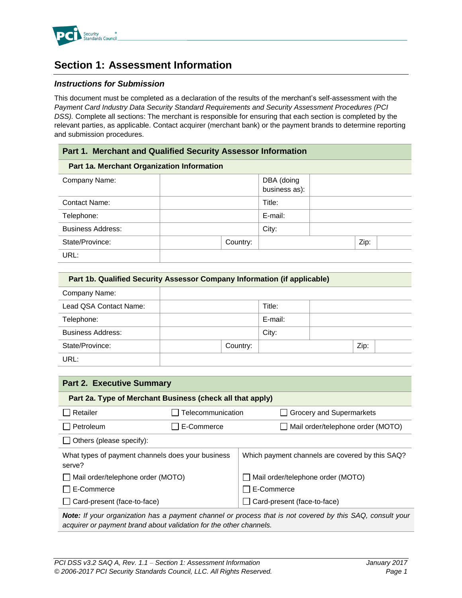

# **Section 1: Assessment Information**

### *Instructions for Submission*

This document must be completed as a declaration of the results of the merchant's self-assessment with the *Payment Card Industry Data Security Standard Requirements and Security Assessment Procedures (PCI DSS).* Complete all sections: The merchant is responsible for ensuring that each section is completed by the relevant parties, as applicable. Contact acquirer (merchant bank) or the payment brands to determine reporting and submission procedures.

### **Part 1. Merchant and Qualified Security Assessor Information**

#### **Part 1a. Merchant Organization Information**

| Company Name:            |          | DBA (doing<br>business as): |      |  |
|--------------------------|----------|-----------------------------|------|--|
| <b>Contact Name:</b>     |          | Title:                      |      |  |
| Telephone:               |          | E-mail:                     |      |  |
| <b>Business Address:</b> |          | City:                       |      |  |
| State/Province:          | Country: |                             | Zip: |  |
| URL:                     |          |                             |      |  |

| Part 1b. Qualified Security Assessor Company Information (if applicable) |          |         |      |
|--------------------------------------------------------------------------|----------|---------|------|
| Company Name:                                                            |          |         |      |
| Lead QSA Contact Name:                                                   |          | Title:  |      |
| Telephone:                                                               |          | E-mail: |      |
| <b>Business Address:</b>                                                 |          | City:   |      |
| State/Province:                                                          | Country: |         | Zip: |
| URL:                                                                     |          |         |      |

| <b>Part 2. Executive Summary</b>                            |                   |                                                                                                                  |  |  |
|-------------------------------------------------------------|-------------------|------------------------------------------------------------------------------------------------------------------|--|--|
| Part 2a. Type of Merchant Business (check all that apply)   |                   |                                                                                                                  |  |  |
| Retailer                                                    | Telecommunication | Grocery and Supermarkets                                                                                         |  |  |
| Petroleum                                                   | E-Commerce        | Mail order/telephone order (MOTO)                                                                                |  |  |
| Others (please specify):<br>$\perp$                         |                   |                                                                                                                  |  |  |
| What types of payment channels does your business<br>serve? |                   | Which payment channels are covered by this SAQ?                                                                  |  |  |
| Mail order/telephone order (MOTO)                           |                   | Mail order/telephone order (MOTO)                                                                                |  |  |
| E-Commerce                                                  |                   | $\Box$ E-Commerce                                                                                                |  |  |
| $\Box$ Card-present (face-to-face)                          |                   | Card-present (face-to-face)                                                                                      |  |  |
|                                                             |                   | <b>Note:</b> If your organization has a nayment channel or process that is not covered by this SAO, consult your |  |  |

*Note: If your organization has a payment channel or process that is not covered by this SAQ, consult your acquirer or payment brand about validation for the other channels.*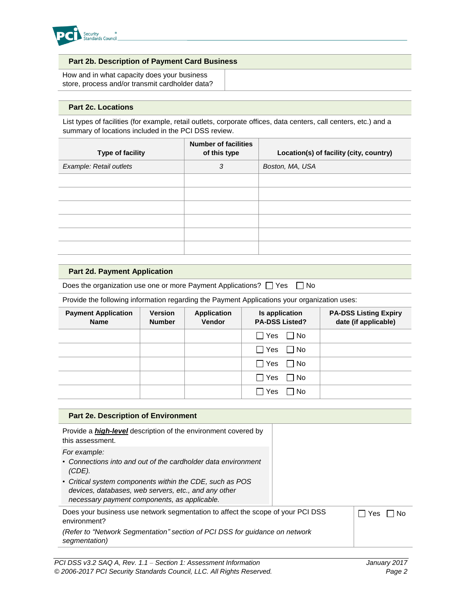

# **Part 2b. Description of Payment Card Business** How and in what capacity does your business store, process and/or transmit cardholder data?

#### **Part 2c. Locations**

List types of facilities (for example, retail outlets, corporate offices, data centers, call centers, etc.) and a summary of locations included in the PCI DSS review.

| Type of facility        | <b>Number of facilities</b><br>of this type | Location(s) of facility (city, country) |
|-------------------------|---------------------------------------------|-----------------------------------------|
| Example: Retail outlets | 3                                           | Boston, MA, USA                         |
|                         |                                             |                                         |
|                         |                                             |                                         |
|                         |                                             |                                         |
|                         |                                             |                                         |
|                         |                                             |                                         |
|                         |                                             |                                         |

#### **Part 2d. Payment Application**

Does the organization use one or more Payment Applications?  $\Box$  Yes  $\Box$  No

Provide the following information regarding the Payment Applications your organization uses:

| <b>Payment Application</b><br><b>Name</b> | <b>Version</b><br><b>Number</b> | <b>Application</b><br>Vendor | Is application<br><b>PA-DSS Listed?</b> | <b>PA-DSS Listing Expiry</b><br>date (if applicable) |
|-------------------------------------------|---------------------------------|------------------------------|-----------------------------------------|------------------------------------------------------|
|                                           |                                 |                              | $\Box$ Yes<br>l INo                     |                                                      |
|                                           |                                 |                              | $\Box$ Yes<br>l No                      |                                                      |
|                                           |                                 |                              | $\Box$ Yes<br>  No                      |                                                      |
|                                           |                                 |                              | $\Box$ Yes<br><b>No</b>                 |                                                      |
|                                           |                                 |                              | Yes<br>T No                             |                                                      |

| <b>Part 2e. Description of Environment</b>                                                                                                                       |                              |
|------------------------------------------------------------------------------------------------------------------------------------------------------------------|------------------------------|
| Provide a <b>high-level</b> description of the environment covered by<br>this assessment.                                                                        |                              |
| For example:                                                                                                                                                     |                              |
| • Connections into and out of the cardholder data environment<br>$(CDE)$ .                                                                                       |                              |
| • Critical system components within the CDE, such as POS<br>devices, databases, web servers, etc., and any other<br>necessary payment components, as applicable. |                              |
| Does your business use network segmentation to affect the scope of your PCI DSS<br>environment?                                                                  | Yes<br>No.<br>$\blacksquare$ |
| (Refer to "Network Segmentation" section of PCI DSS for guidance on network<br>segmentation)                                                                     |                              |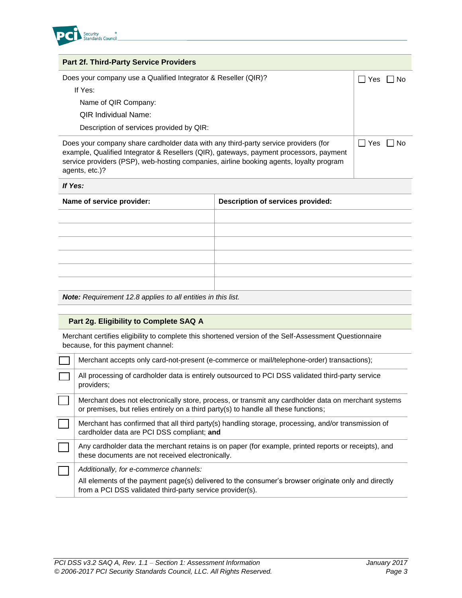

| <b>Part 2f. Third-Party Service Providers</b>                                                                                                                                                                                                                                              |                    |
|--------------------------------------------------------------------------------------------------------------------------------------------------------------------------------------------------------------------------------------------------------------------------------------------|--------------------|
| Does your company use a Qualified Integrator & Reseller (QIR)?                                                                                                                                                                                                                             | N٥<br>Yes          |
| If Yes:                                                                                                                                                                                                                                                                                    |                    |
| Name of QIR Company:                                                                                                                                                                                                                                                                       |                    |
| <b>QIR Individual Name:</b>                                                                                                                                                                                                                                                                |                    |
| Description of services provided by QIR:                                                                                                                                                                                                                                                   |                    |
| Does your company share cardholder data with any third-party service providers (for<br>example, Qualified Integrator & Resellers (QIR), gateways, payment processors, payment<br>service providers (PSP), web-hosting companies, airline booking agents, loyalty program<br>agents, etc.)? | l No<br><b>Yes</b> |

*If Yes:*

| <b>Description of services provided:</b> |
|------------------------------------------|
|                                          |
|                                          |
|                                          |
|                                          |
|                                          |
|                                          |
|                                          |

*Note: Requirement 12.8 applies to all entities in this list.*

### **Part 2g. Eligibility to Complete SAQ A**

Merchant certifies eligibility to complete this shortened version of the Self-Assessment Questionnaire because, for this payment channel:

| Merchant accepts only card-not-present (e-commerce or mail/telephone-order) transactions);                                                                                                                 |
|------------------------------------------------------------------------------------------------------------------------------------------------------------------------------------------------------------|
| All processing of cardholder data is entirely outsourced to PCI DSS validated third-party service<br>providers;                                                                                            |
| Merchant does not electronically store, process, or transmit any cardholder data on merchant systems<br>or premises, but relies entirely on a third party(s) to handle all these functions;                |
| Merchant has confirmed that all third party(s) handling storage, processing, and/or transmission of<br>cardholder data are PCI DSS compliant; and                                                          |
| Any cardholder data the merchant retains is on paper (for example, printed reports or receipts), and<br>these documents are not received electronically.                                                   |
| Additionally, for e-commerce channels:<br>All elements of the payment page(s) delivered to the consumer's browser originate only and directly<br>from a PCI DSS validated third-party service provider(s). |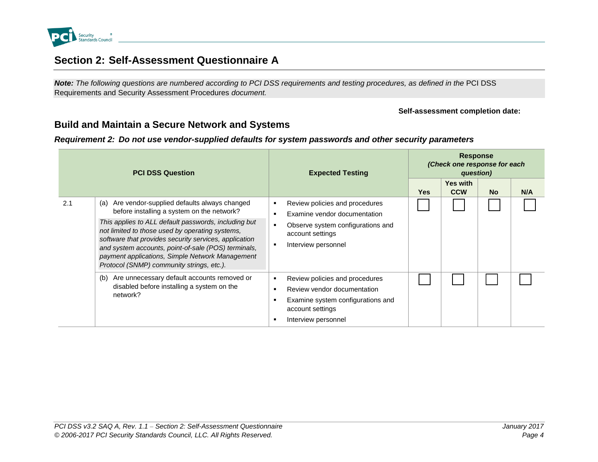

# **Section 2: Self-Assessment Questionnaire A**

*Note: The following questions are numbered according to PCI DSS requirements and testing procedures, as defined in the* PCI DSS Requirements and Security Assessment Procedures *document.* 

#### **Self-assessment completion date:**

### **Build and Maintain a Secure Network and Systems**

*Requirement 2: Do not use vendor-supplied defaults for system passwords and other security parameters*

| <b>PCI DSS Question</b> |                                                                                                                                                                                                                                                                                                                                                                                                                             | <b>Expected Testing</b>                                                                                                                                                                                   | <b>Response</b><br>(Check one response for each<br>question) |                               |           |     |  |
|-------------------------|-----------------------------------------------------------------------------------------------------------------------------------------------------------------------------------------------------------------------------------------------------------------------------------------------------------------------------------------------------------------------------------------------------------------------------|-----------------------------------------------------------------------------------------------------------------------------------------------------------------------------------------------------------|--------------------------------------------------------------|-------------------------------|-----------|-----|--|
|                         |                                                                                                                                                                                                                                                                                                                                                                                                                             |                                                                                                                                                                                                           | <b>Yes</b>                                                   | <b>Yes with</b><br><b>CCW</b> | <b>No</b> | N/A |  |
| 2.1                     | Are vendor-supplied defaults always changed<br>(a)<br>before installing a system on the network?<br>This applies to ALL default passwords, including but<br>not limited to those used by operating systems,<br>software that provides security services, application<br>and system accounts, point-of-sale (POS) terminals,<br>payment applications, Simple Network Management<br>Protocol (SNMP) community strings, etc.). | Review policies and procedures<br>$\blacksquare$<br>Examine vendor documentation<br>٠<br>Observe system configurations and<br>$\blacksquare$<br>account settings<br>Interview personnel<br>$\blacksquare$ |                                                              |                               |           |     |  |
|                         | Are unnecessary default accounts removed or<br>(b)<br>disabled before installing a system on the<br>network?                                                                                                                                                                                                                                                                                                                | Review policies and procedures<br>٠<br>Review vendor documentation<br>٠<br>Examine system configurations and<br>٠<br>account settings<br>Interview personnel<br>٠                                         |                                                              |                               |           |     |  |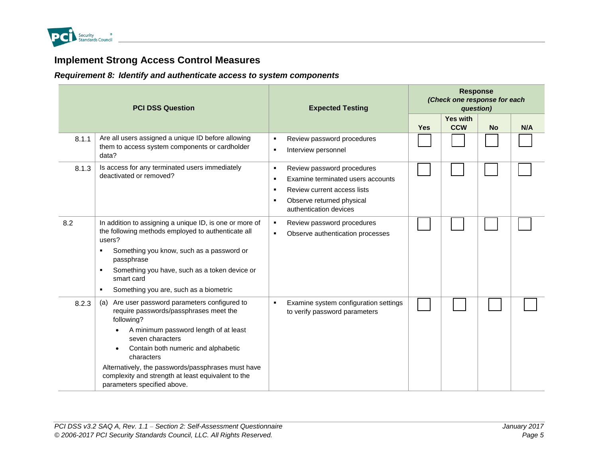

# **Implement Strong Access Control Measures**

*Requirement 8: Identify and authenticate access to system components*

| <b>PCI DSS Question</b>                                                                                                |                                                                                                                                                                                                                                                                                                                                                                        | <b>Expected Testing</b>                                                                                                                                                                              | <b>Response</b><br>(Check one response for each<br>question) |                               |           |     |
|------------------------------------------------------------------------------------------------------------------------|------------------------------------------------------------------------------------------------------------------------------------------------------------------------------------------------------------------------------------------------------------------------------------------------------------------------------------------------------------------------|------------------------------------------------------------------------------------------------------------------------------------------------------------------------------------------------------|--------------------------------------------------------------|-------------------------------|-----------|-----|
|                                                                                                                        |                                                                                                                                                                                                                                                                                                                                                                        |                                                                                                                                                                                                      | <b>Yes</b>                                                   | <b>Yes with</b><br><b>CCW</b> | <b>No</b> | N/A |
| Are all users assigned a unique ID before allowing<br>8.1.1<br>them to access system components or cardholder<br>data? |                                                                                                                                                                                                                                                                                                                                                                        | Review password procedures<br>$\blacksquare$<br>Interview personnel<br>$\blacksquare$                                                                                                                |                                                              |                               |           |     |
| Is access for any terminated users immediately<br>8.1.3<br>deactivated or removed?                                     |                                                                                                                                                                                                                                                                                                                                                                        | Review password procedures<br>$\blacksquare$<br>Examine terminated users accounts<br>л<br>Review current access lists<br>$\blacksquare$<br>Observe returned physical<br>л.<br>authentication devices |                                                              |                               |           |     |
| 8.2                                                                                                                    | In addition to assigning a unique ID, is one or more of<br>the following methods employed to authenticate all<br>users?<br>Something you know, such as a password or<br>٠<br>passphrase<br>Something you have, such as a token device or<br>$\blacksquare$<br>smart card<br>Something you are, such as a biometric<br>٠                                                | Review password procedures<br>$\blacksquare$<br>Observe authentication processes<br>$\blacksquare$                                                                                                   |                                                              |                               |           |     |
| 8.2.3                                                                                                                  | Are user password parameters configured to<br>(a)<br>require passwords/passphrases meet the<br>following?<br>A minimum password length of at least<br>seven characters<br>Contain both numeric and alphabetic<br>characters<br>Alternatively, the passwords/passphrases must have<br>complexity and strength at least equivalent to the<br>parameters specified above. | Examine system configuration settings<br>$\blacksquare$<br>to verify password parameters                                                                                                             |                                                              |                               |           |     |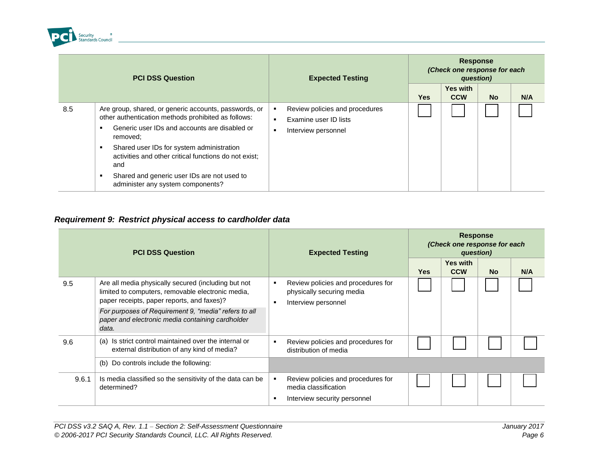

| <b>PCI DSS Question</b> |                                                                                                                                                                                                                                                                                                                                                                            | <b>Expected Testing</b>                                                             | <b>Response</b><br>(Check one response for each<br>question) |                               |           |     |  |
|-------------------------|----------------------------------------------------------------------------------------------------------------------------------------------------------------------------------------------------------------------------------------------------------------------------------------------------------------------------------------------------------------------------|-------------------------------------------------------------------------------------|--------------------------------------------------------------|-------------------------------|-----------|-----|--|
|                         |                                                                                                                                                                                                                                                                                                                                                                            |                                                                                     | Yes.                                                         | <b>Yes with</b><br><b>CCW</b> | <b>No</b> | N/A |  |
| 8.5                     | Are group, shared, or generic accounts, passwords, or<br>other authentication methods prohibited as follows:<br>Generic user IDs and accounts are disabled or<br>removed;<br>Shared user IDs for system administration<br>activities and other critical functions do not exist;<br>and<br>Shared and generic user IDs are not used to<br>administer any system components? | Review policies and procedures<br>Е<br>Examine user ID lists<br>Interview personnel |                                                              |                               |           |     |  |

### *Requirement 9: Restrict physical access to cardholder data*

| <b>PCI DSS Question</b> |                                                                                                                                                        |                                  | <b>Expected Testing</b>                                                                    | <b>Response</b><br>(Check one response for each<br>question) |                               |           |     |
|-------------------------|--------------------------------------------------------------------------------------------------------------------------------------------------------|----------------------------------|--------------------------------------------------------------------------------------------|--------------------------------------------------------------|-------------------------------|-----------|-----|
|                         |                                                                                                                                                        |                                  |                                                                                            | <b>Yes</b>                                                   | <b>Yes with</b><br><b>CCW</b> | <b>No</b> | N/A |
| 9.5                     | Are all media physically secured (including but not<br>limited to computers, removable electronic media,<br>paper receipts, paper reports, and faxes)? | $\blacksquare$<br>$\blacksquare$ | Review policies and procedures for<br>physically securing media<br>Interview personnel     |                                                              |                               |           |     |
|                         | For purposes of Requirement 9, "media" refers to all<br>paper and electronic media containing cardholder<br>data.                                      |                                  |                                                                                            |                                                              |                               |           |     |
| 9.6                     | Is strict control maintained over the internal or<br>(a)<br>external distribution of any kind of media?                                                | $\blacksquare$                   | Review policies and procedures for<br>distribution of media                                |                                                              |                               |           |     |
|                         | (b) Do controls include the following:                                                                                                                 |                                  |                                                                                            |                                                              |                               |           |     |
| 9.6.1                   | Is media classified so the sensitivity of the data can be<br>determined?                                                                               | ٠<br>$\blacksquare$              | Review policies and procedures for<br>media classification<br>Interview security personnel |                                                              |                               |           |     |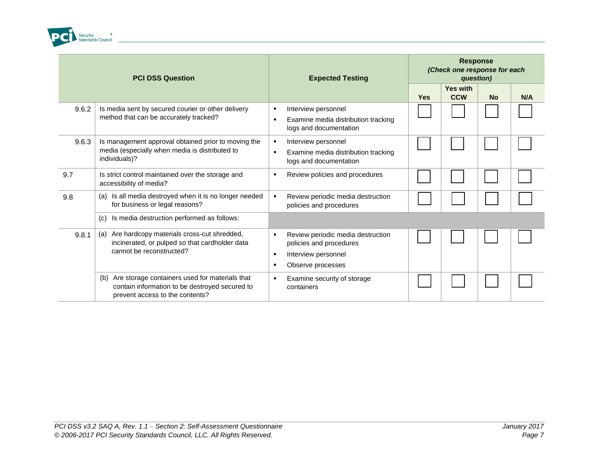

| <b>PCI DSS Question</b>                                                                                                         |                                                                                                                                            | <b>Expected Testing</b>                                                                                                              | <b>Response</b><br>(Check one response for each<br>question) |                               |           |     |
|---------------------------------------------------------------------------------------------------------------------------------|--------------------------------------------------------------------------------------------------------------------------------------------|--------------------------------------------------------------------------------------------------------------------------------------|--------------------------------------------------------------|-------------------------------|-----------|-----|
|                                                                                                                                 |                                                                                                                                            |                                                                                                                                      | <b>Yes</b>                                                   | <b>Yes with</b><br><b>CCW</b> | <b>No</b> | N/A |
| Is media sent by secured courier or other delivery<br>9.6.2<br>method that can be accurately tracked?                           |                                                                                                                                            | Interview personnel<br>$\blacksquare$<br>Examine media distribution tracking<br>$\blacksquare$<br>logs and documentation             |                                                              |                               |           |     |
| 9.6.3<br>Is management approval obtained prior to moving the<br>media (especially when media is distributed to<br>individuals)? |                                                                                                                                            | Interview personnel<br>п.<br>Examine media distribution tracking<br>٠<br>logs and documentation                                      |                                                              |                               |           |     |
| 9.7<br>Is strict control maintained over the storage and<br>accessibility of media?                                             |                                                                                                                                            | Review policies and procedures<br>٠                                                                                                  |                                                              |                               |           |     |
| Is all media destroyed when it is no longer needed<br>9.8<br>(a)<br>for business or legal reasons?                              |                                                                                                                                            | Review periodic media destruction<br>$\blacksquare$<br>policies and procedures                                                       |                                                              |                               |           |     |
|                                                                                                                                 | Is media destruction performed as follows:<br>(c)                                                                                          |                                                                                                                                      |                                                              |                               |           |     |
| 9.8.1                                                                                                                           | (a) Are hardcopy materials cross-cut shredded,<br>incinerated, or pulped so that cardholder data<br>cannot be reconstructed?               | Review periodic media destruction<br>$\blacksquare$<br>policies and procedures<br>Interview personnel<br>٠<br>Observe processes<br>٠ |                                                              |                               |           |     |
|                                                                                                                                 | Are storage containers used for materials that<br>(b)<br>contain information to be destroyed secured to<br>prevent access to the contents? | Examine security of storage<br>٠<br>containers                                                                                       |                                                              |                               |           |     |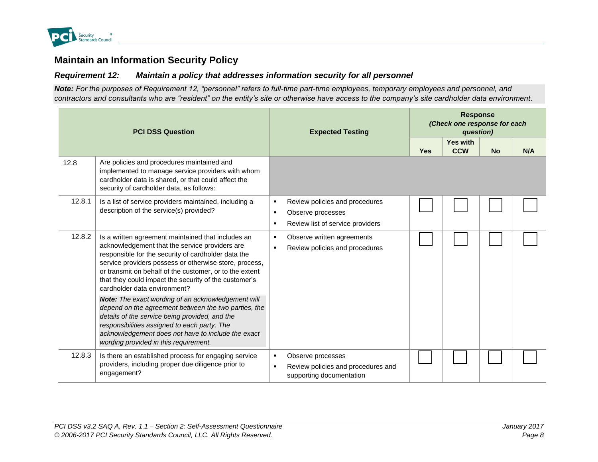

# **Maintain an Information Security Policy**

### *Requirement 12: Maintain a policy that addresses information security for all personnel*

*Note: For the purposes of Requirement 12, "personnel" refers to full-time part-time employees, temporary employees and personnel, and contractors and consultants who are "resident" on the entity's site or otherwise have access to the company's site cardholder data environment.*

| <b>PCI DSS Question</b> |                                                                                                                                                                                                                                                                                                                                                                                                                                                                                                                                           | <b>Expected Testing</b>                                                                                        | <b>Response</b><br>(Check one response for each<br>question) |                               |           |     |  |
|-------------------------|-------------------------------------------------------------------------------------------------------------------------------------------------------------------------------------------------------------------------------------------------------------------------------------------------------------------------------------------------------------------------------------------------------------------------------------------------------------------------------------------------------------------------------------------|----------------------------------------------------------------------------------------------------------------|--------------------------------------------------------------|-------------------------------|-----------|-----|--|
|                         |                                                                                                                                                                                                                                                                                                                                                                                                                                                                                                                                           |                                                                                                                | <b>Yes</b>                                                   | <b>Yes with</b><br><b>CCW</b> | <b>No</b> | N/A |  |
| 12.8                    | Are policies and procedures maintained and<br>implemented to manage service providers with whom<br>cardholder data is shared, or that could affect the<br>security of cardholder data, as follows:                                                                                                                                                                                                                                                                                                                                        |                                                                                                                |                                                              |                               |           |     |  |
| 12.8.1                  | Is a list of service providers maintained, including a<br>description of the service(s) provided?                                                                                                                                                                                                                                                                                                                                                                                                                                         | Review policies and procedures<br>٠<br>Observe processes<br>$\blacksquare$<br>Review list of service providers |                                                              |                               |           |     |  |
| 12.8.2                  | Is a written agreement maintained that includes an<br>acknowledgement that the service providers are<br>responsible for the security of cardholder data the<br>service providers possess or otherwise store, process,<br>or transmit on behalf of the customer, or to the extent<br>that they could impact the security of the customer's<br>cardholder data environment?<br>Note: The exact wording of an acknowledgement will<br>depend on the agreement between the two parties, the<br>details of the service being provided, and the | Observe written agreements<br>٠<br>Review policies and procedures                                              |                                                              |                               |           |     |  |
|                         | responsibilities assigned to each party. The<br>acknowledgement does not have to include the exact<br>wording provided in this requirement.                                                                                                                                                                                                                                                                                                                                                                                               |                                                                                                                |                                                              |                               |           |     |  |
| 12.8.3                  | Is there an established process for engaging service<br>providers, including proper due diligence prior to<br>engagement?                                                                                                                                                                                                                                                                                                                                                                                                                 | Observe processes<br>$\blacksquare$<br>Review policies and procedures and<br>supporting documentation          |                                                              |                               |           |     |  |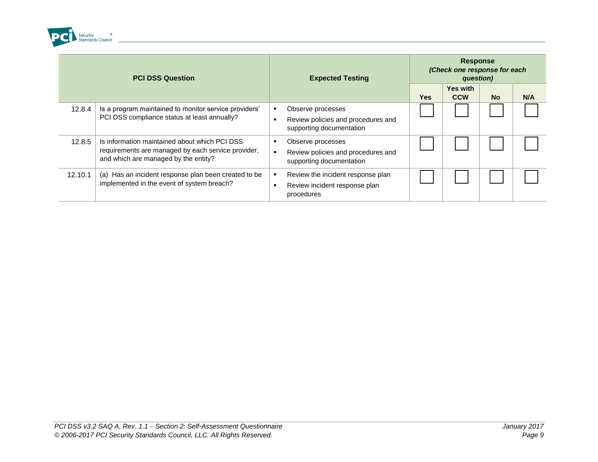

| <b>PCI DSS Question</b> |                                                                                                                                             | <b>Expected Testing</b>                                                             |     | <b>Response</b><br>(Check one response for each<br>question) |           |     |  |
|-------------------------|---------------------------------------------------------------------------------------------------------------------------------------------|-------------------------------------------------------------------------------------|-----|--------------------------------------------------------------|-----------|-----|--|
|                         |                                                                                                                                             |                                                                                     | Yes | Yes with<br><b>CCW</b>                                       | <b>No</b> | N/A |  |
| 12.8.4                  | Is a program maintained to monitor service providers'<br>PCI DSS compliance status at least annually?                                       | Observe processes<br>Review policies and procedures and<br>supporting documentation |     |                                                              |           |     |  |
| 12.8.5                  | Is information maintained about which PCI DSS<br>requirements are managed by each service provider,<br>and which are managed by the entity? | Observe processes<br>Review policies and procedures and<br>supporting documentation |     |                                                              |           |     |  |
| 12.10.1                 | (a) Has an incident response plan been created to be<br>implemented in the event of system breach?                                          | Review the incident response plan<br>Review incident response plan<br>procedures    |     |                                                              |           |     |  |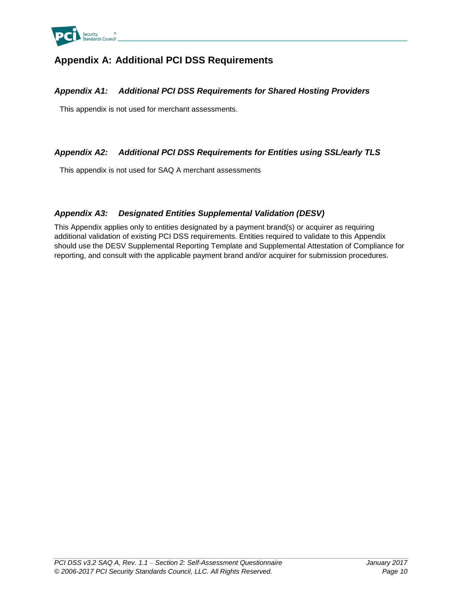

## **Appendix A: Additional PCI DSS Requirements**

### *Appendix A1: Additional PCI DSS Requirements for Shared Hosting Providers*

This appendix is not used for merchant assessments.

### *Appendix A2: Additional PCI DSS Requirements for Entities using SSL/early TLS*

This appendix is not used for SAQ A merchant assessments

### *Appendix A3: Designated Entities Supplemental Validation (DESV)*

This Appendix applies only to entities designated by a payment brand(s) or acquirer as requiring additional validation of existing PCI DSS requirements. Entities required to validate to this Appendix should use the DESV Supplemental Reporting Template and Supplemental Attestation of Compliance for reporting, and consult with the applicable payment brand and/or acquirer for submission procedures.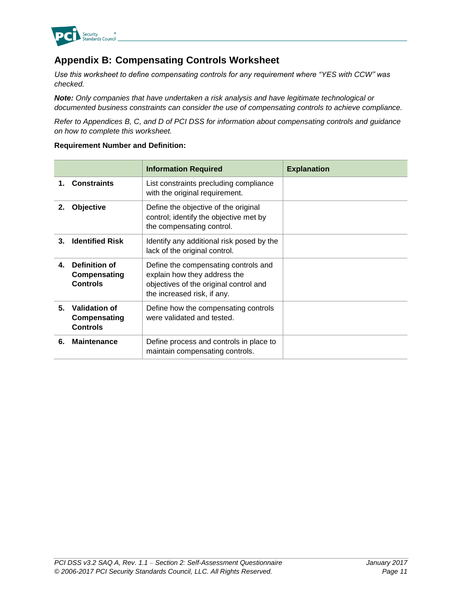

## **Appendix B: Compensating Controls Worksheet**

*Use this worksheet to define compensating controls for any requirement where "YES with CCW" was checked.*

*Note: Only companies that have undertaken a risk analysis and have legitimate technological or documented business constraints can consider the use of compensating controls to achieve compliance.*

*Refer to Appendices B, C, and D of PCI DSS for information about compensating controls and guidance on how to complete this worksheet.*

### **Requirement Number and Definition:**

|         |                                                         | <b>Information Required</b>                                                                                                                   | <b>Explanation</b> |
|---------|---------------------------------------------------------|-----------------------------------------------------------------------------------------------------------------------------------------------|--------------------|
| 1.      | <b>Constraints</b>                                      | List constraints precluding compliance<br>with the original requirement.                                                                      |                    |
| $2_{-}$ | Objective                                               | Define the objective of the original<br>control; identify the objective met by<br>the compensating control.                                   |                    |
| 3.      | <b>Identified Risk</b>                                  | Identify any additional risk posed by the<br>lack of the original control.                                                                    |                    |
| 4.      | Definition of<br>Compensating<br><b>Controls</b>        | Define the compensating controls and<br>explain how they address the<br>objectives of the original control and<br>the increased risk, if any. |                    |
| 5.      | <b>Validation of</b><br>Compensating<br><b>Controls</b> | Define how the compensating controls<br>were validated and tested.                                                                            |                    |
| 6.      | <b>Maintenance</b>                                      | Define process and controls in place to<br>maintain compensating controls.                                                                    |                    |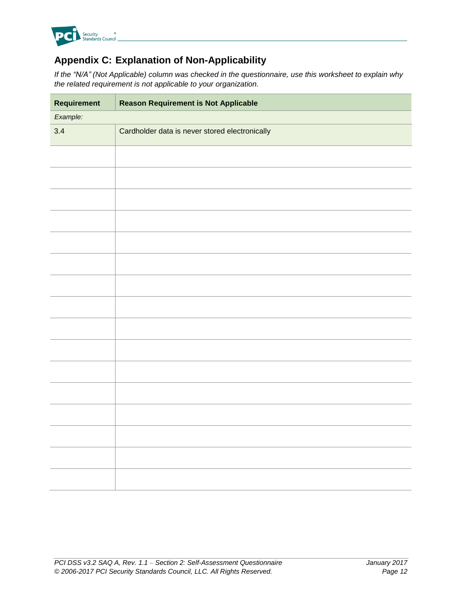

# **Appendix C: Explanation of Non-Applicability**

*If the "N/A" (Not Applicable) column was checked in the questionnaire, use this worksheet to explain why the related requirement is not applicable to your organization.*

| Requirement | <b>Reason Requirement is Not Applicable</b>    |
|-------------|------------------------------------------------|
| Example:    |                                                |
| 3.4         | Cardholder data is never stored electronically |
|             |                                                |
|             |                                                |
|             |                                                |
|             |                                                |
|             |                                                |
|             |                                                |
|             |                                                |
|             |                                                |
|             |                                                |
|             |                                                |
|             |                                                |
|             |                                                |
|             |                                                |
|             |                                                |
|             |                                                |
|             |                                                |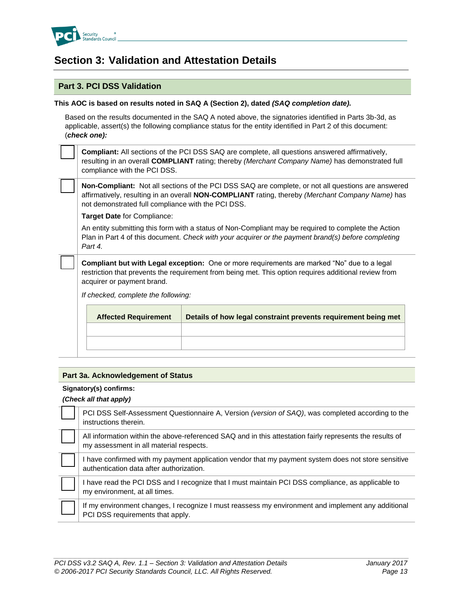

## **Section 3: Validation and Attestation Details**

### **Part 3. PCI DSS Validation**

#### **This AOC is based on results noted in SAQ A (Section 2), dated** *(SAQ completion date).*

Based on the results documented in the SAQ A noted above, the signatories identified in Parts 3b-3d, as applicable, assert(s) the following compliance status for the entity identified in Part 2 of this document: (*check one):*

**Compliant:** All sections of the PCI DSS SAQ are complete, all questions answered affirmatively, resulting in an overall **COMPLIANT** rating; thereby *(Merchant Company Name)* has demonstrated full compliance with the PCI DSS.

**Non-Compliant:** Not all sections of the PCI DSS SAQ are complete, or not all questions are answered affirmatively, resulting in an overall **NON-COMPLIANT** rating, thereby *(Merchant Company Name)* has not demonstrated full compliance with the PCI DSS.

**Target Date** for Compliance:

An entity submitting this form with a status of Non-Compliant may be required to complete the Action Plan in Part 4 of this document. *Check with your acquirer or the payment brand(s) before completing Part 4.*

**Compliant but with Legal exception:** One or more requirements are marked "No" due to a legal restriction that prevents the requirement from being met. This option requires additional review from acquirer or payment brand.

*If checked, complete the following:*

| <b>Affected Requirement</b> | Details of how legal constraint prevents requirement being met |
|-----------------------------|----------------------------------------------------------------|
|                             |                                                                |
|                             |                                                                |
|                             |                                                                |

#### **Part 3a. Acknowledgement of Status**

#### **Signatory(s) confirms:**

#### *(Check all that apply)*

| PCI DSS Self-Assessment Questionnaire A, Version (version of SAQ), was completed according to the<br>instructions therein.                          |
|-----------------------------------------------------------------------------------------------------------------------------------------------------|
| All information within the above-referenced SAQ and in this attestation fairly represents the results of<br>my assessment in all material respects. |
| I have confirmed with my payment application vendor that my payment system does not store sensitive<br>authentication data after authorization.     |
| I have read the PCI DSS and I recognize that I must maintain PCI DSS compliance, as applicable to<br>my environment, at all times.                  |
| If my environment changes, I recognize I must reassess my environment and implement any additional<br>PCI DSS requirements that apply.              |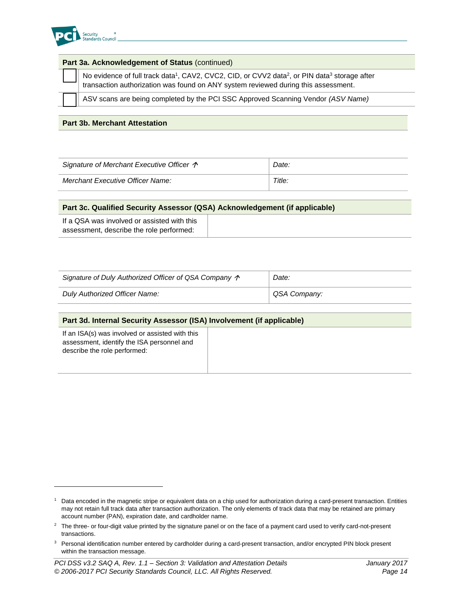

l

| Part 3a. Acknowledgement of Status (continued) |                                                                                                                                                                                                                      |  |  |  |
|------------------------------------------------|----------------------------------------------------------------------------------------------------------------------------------------------------------------------------------------------------------------------|--|--|--|
|                                                | No evidence of full track data <sup>1</sup> , CAV2, CVC2, CID, or CVV2 data <sup>2</sup> , or PIN data <sup>3</sup> storage after transaction authorization was found on ANY system reviewed during this assessment. |  |  |  |
|                                                | ASV scans are being completed by the PCI SSC Approved Scanning Vendor (ASV Name)                                                                                                                                     |  |  |  |
|                                                |                                                                                                                                                                                                                      |  |  |  |

### **Part 3b. Merchant Attestation**

| Signature of Merchant Executive Officer $\uparrow$ | Date:  |  |
|----------------------------------------------------|--------|--|
| Merchant Executive Officer Name:                   | Title: |  |

| Part 3c. Qualified Security Assessor (QSA) Acknowledgement (if applicable)              |  |  |  |  |  |
|-----------------------------------------------------------------------------------------|--|--|--|--|--|
| If a QSA was involved or assisted with this<br>assessment, describe the role performed: |  |  |  |  |  |

| Signature of Duly Authorized Officer of QSA Company $\uparrow$ | Date:        |  |
|----------------------------------------------------------------|--------------|--|
| Duly Authorized Officer Name:                                  | QSA Company: |  |

| Part 3d. Internal Security Assessor (ISA) Involvement (if applicable)                                                         |  |  |  |  |
|-------------------------------------------------------------------------------------------------------------------------------|--|--|--|--|
| If an ISA(s) was involved or assisted with this<br>assessment, identify the ISA personnel and<br>describe the role performed: |  |  |  |  |

<sup>1</sup> Data encoded in the magnetic stripe or equivalent data on a chip used for authorization during a card-present transaction. Entities may not retain full track data after transaction authorization. The only elements of track data that may be retained are primary account number (PAN), expiration date, and cardholder name.

<sup>&</sup>lt;sup>2</sup> The three- or four-digit value printed by the signature panel or on the face of a payment card used to verify card-not-present transactions.

<sup>&</sup>lt;sup>3</sup> Personal identification number entered by cardholder during a card-present transaction, and/or encrypted PIN block present within the transaction message.